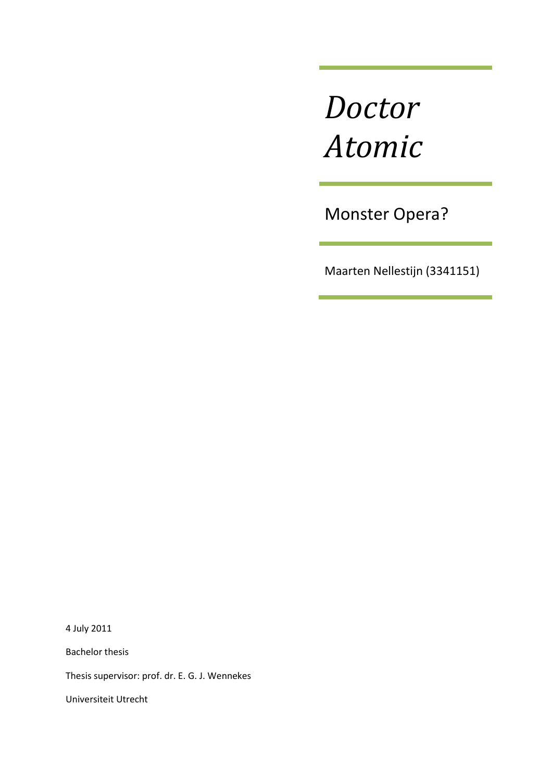# *Doctor Atomic*

Monster Opera?

Maarten Nellestijn (3341151)

4 July 2011

Bachelor thesis

Thesis supervisor: prof. dr. E. G. J. Wennekes

Universiteit Utrecht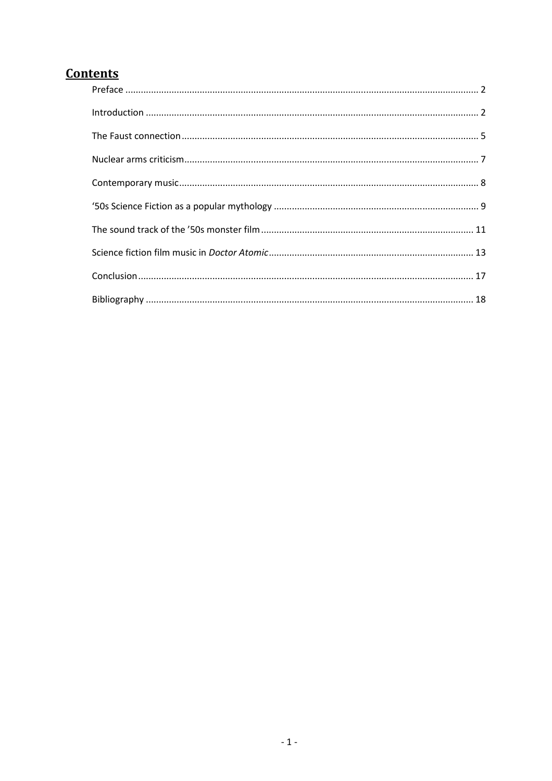# **Contents**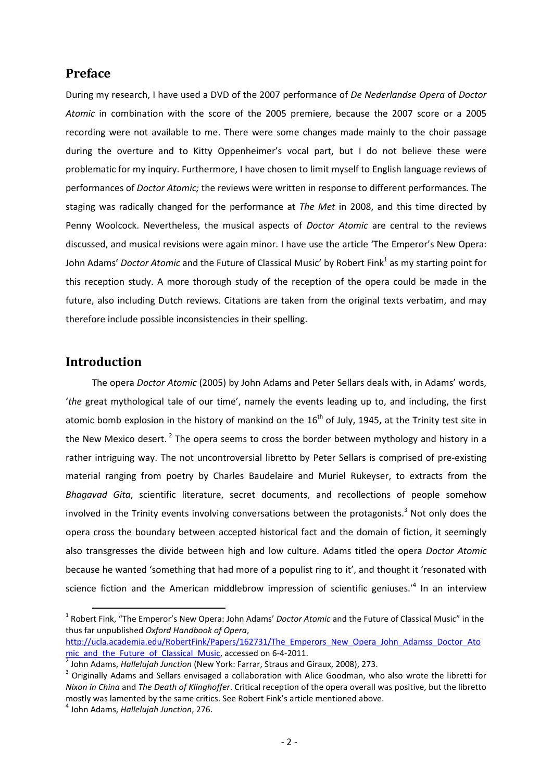# **Preface**

During my research, I have used a DVD of the 2007 performance of *De Nederlandse Opera* of *Doctor Atomic* in combination with the score of the 2005 premiere, because the 2007 score or a 2005 recording were not available to me. There were some changes made mainly to the choir passage during the overture and to Kitty Oppenheimer's vocal part, but I do not believe these were problematic for my inquiry. Furthermore, I have chosen to limit myself to English language reviews of performances of *Doctor Atomic;* the reviews were written in response to different performances*.* The staging was radically changed for the performance at *The Met* in 2008, and this time directed by Penny Woolcock. Nevertheless, the musical aspects of *Doctor Atomic* are central to the reviews discussed, and musical revisions were again minor. I have use the article 'The Emperor's New Opera: John Adams' *Doctor Atomic* and the Future of Classical Music' by Robert Fink<sup>1</sup> as my starting point for this reception study. A more thorough study of the reception of the opera could be made in the future, also including Dutch reviews. Citations are taken from the original texts verbatim, and may therefore include possible inconsistencies in their spelling.

# **Introduction**

l

The opera *Doctor Atomic* (2005) by John Adams and Peter Sellars deals with, in Adams' words, '*the* great mythological tale of our time', namely the events leading up to, and including, the first atomic bomb explosion in the history of mankind on the  $16<sup>th</sup>$  of July, 1945, at the Trinity test site in the New Mexico desert.<sup>2</sup> The opera seems to cross the border between mythology and history in a rather intriguing way. The not uncontroversial libretto by Peter Sellars is comprised of pre-existing material ranging from poetry by Charles Baudelaire and Muriel Rukeyser, to extracts from the *Bhagavad Gita*, scientific literature, secret documents, and recollections of people somehow involved in the Trinity events involving conversations between the protagonists.<sup>3</sup> Not only does the opera cross the boundary between accepted historical fact and the domain of fiction, it seemingly also transgresses the divide between high and low culture. Adams titled the opera *Doctor Atomic* because he wanted 'something that had more of a populist ring to it', and thought it 'resonated with science fiction and the American middlebrow impression of scientific geniuses.<sup>14</sup> In an interview

<sup>&</sup>lt;sup>1</sup> Robert Fink, "The Emperor's New Opera: John Adams' *Doctor Atomic* and the Future of Classical Music" in the thus far unpublished *Oxford Handbook of Opera*,

http://ucla.academia.edu/RobertFink/Papers/162731/The\_Emperors\_New\_Opera\_John\_Adamss\_Doctor\_Ato mic\_and\_the\_Future\_of\_Classical\_Music, accessed on 6-4-2011.

<sup>2</sup> John Adams, *Hallelujah Junction* (New York: Farrar, Straus and Giraux, 2008), 273.

<sup>&</sup>lt;sup>3</sup> Originally Adams and Sellars envisaged a collaboration with Alice Goodman, who also wrote the libretti for *Nixon in China* and *The Death of Klinghoffer*. Critical reception of the opera overall was positive, but the libretto mostly was lamented by the same critics. See Robert Fink's article mentioned above.

<sup>4</sup> John Adams, *Hallelujah Junction*, 276.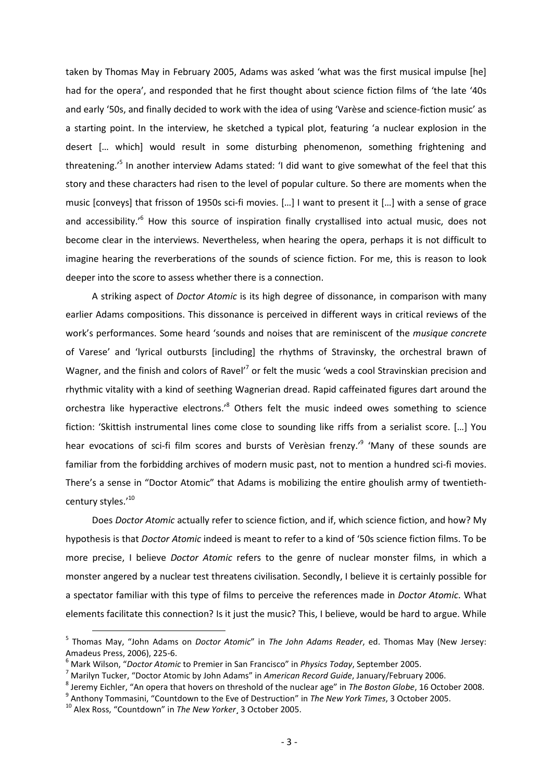taken by Thomas May in February 2005, Adams was asked 'what was the first musical impulse [he] had for the opera', and responded that he first thought about science fiction films of 'the late '40s and early '50s, and finally decided to work with the idea of using 'Varèse and science-fiction music' as a starting point. In the interview, he sketched a typical plot, featuring 'a nuclear explosion in the desert [… which] would result in some disturbing phenomenon, something frightening and threatening.<sup>,5</sup> In another interview Adams stated: 'I did want to give somewhat of the feel that this story and these characters had risen to the level of popular culture. So there are moments when the music [conveys] that frisson of 1950s sci-fi movies. […] I want to present it […] with a sense of grace and accessibility.<sup>16</sup> How this source of inspiration finally crystallised into actual music, does not become clear in the interviews. Nevertheless, when hearing the opera, perhaps it is not difficult to imagine hearing the reverberations of the sounds of science fiction. For me, this is reason to look deeper into the score to assess whether there is a connection.

A striking aspect of *Doctor Atomic* is its high degree of dissonance, in comparison with many earlier Adams compositions. This dissonance is perceived in different ways in critical reviews of the work's performances. Some heard 'sounds and noises that are reminiscent of the *musique concrete*  of Varese' and 'lyrical outbursts [including] the rhythms of Stravinsky, the orchestral brawn of Wagner, and the finish and colors of Ravel<sup>'7</sup> or felt the music 'weds a cool Stravinskian precision and rhythmic vitality with a kind of seething Wagnerian dread. Rapid caffeinated figures dart around the orchestra like hyperactive electrons.<sup>8</sup> Others felt the music indeed owes something to science fiction: 'Skittish instrumental lines come close to sounding like riffs from a serialist score. […] You hear evocations of sci-fi film scores and bursts of Verèsian frenzy.<sup>,9</sup> 'Many of these sounds are familiar from the forbidding archives of modern music past, not to mention a hundred sci-fi movies. There's a sense in "Doctor Atomic" that Adams is mobilizing the entire ghoulish army of twentiethcentury styles.'<sup>10</sup>

Does *Doctor Atomic* actually refer to science fiction, and if, which science fiction, and how? My hypothesis is that *Doctor Atomic* indeed is meant to refer to a kind of '50s science fiction films. To be more precise, I believe *Doctor Atomic* refers to the genre of nuclear monster films, in which a monster angered by a nuclear test threatens civilisation. Secondly, I believe it is certainly possible for a spectator familiar with this type of films to perceive the references made in *Doctor Atomic*. What elements facilitate this connection? Is it just the music? This, I believe, would be hard to argue. While

<sup>5</sup> Thomas May, "John Adams on *Doctor Atomic*" in *The John Adams Reader*, ed. Thomas May (New Jersey: Amadeus Press, 2006), 225-6.

<sup>6</sup> Mark Wilson, "*Doctor Atomic* to Premier in San Francisco" in *Physics Today*, September 2005.

<sup>7</sup> Marilyn Tucker, "Doctor Atomic by John Adams" in *American Record Guide*, January/February 2006.

<sup>8</sup> Jeremy Eichler, "An opera that hovers on threshold of the nuclear age" in *The Boston Globe*, 16 October 2008.

<sup>9</sup> Anthony Tommasini, "Countdown to the Eve of Destruction" in *The New York Times*, 3 October 2005.

<sup>10</sup> Alex Ross, "Countdown" in *The New Yorker*¸ 3 October 2005.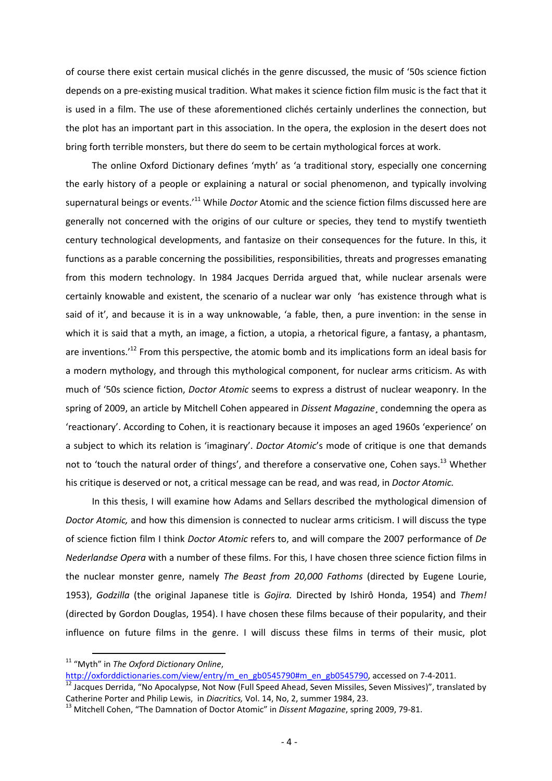of course there exist certain musical clichés in the genre discussed, the music of '50s science fiction depends on a pre-existing musical tradition. What makes it science fiction film music is the fact that it is used in a film. The use of these aforementioned clichés certainly underlines the connection, but the plot has an important part in this association. In the opera, the explosion in the desert does not bring forth terrible monsters, but there do seem to be certain mythological forces at work.

The online Oxford Dictionary defines 'myth' as 'a traditional story, especially one concerning the early history of a people or explaining a natural or social phenomenon, and typically involving supernatural beings or events.'<sup>11</sup> While *Doctor* Atomic and the science fiction films discussed here are generally not concerned with the origins of our culture or species, they tend to mystify twentieth century technological developments, and fantasize on their consequences for the future. In this, it functions as a parable concerning the possibilities, responsibilities, threats and progresses emanating from this modern technology. In 1984 Jacques Derrida argued that, while nuclear arsenals were certainly knowable and existent, the scenario of a nuclear war only 'has existence through what is said of it', and because it is in a way unknowable, 'a fable, then, a pure invention: in the sense in which it is said that a myth, an image, a fiction, a utopia, a rhetorical figure, a fantasy, a phantasm, are inventions.<sup>12</sup> From this perspective, the atomic bomb and its implications form an ideal basis for a modern mythology, and through this mythological component, for nuclear arms criticism. As with much of '50s science fiction, *Doctor Atomic* seems to express a distrust of nuclear weaponry. In the spring of 2009, an article by Mitchell Cohen appeared in *Dissent Magazine*¸ condemning the opera as 'reactionary'. According to Cohen, it is reactionary because it imposes an aged 1960s 'experience' on a subject to which its relation is 'imaginary'. *Doctor Atomic*'s mode of critique is one that demands not to 'touch the natural order of things', and therefore a conservative one, Cohen says.<sup>13</sup> Whether his critique is deserved or not, a critical message can be read, and was read, in *Doctor Atomic.* 

In this thesis, I will examine how Adams and Sellars described the mythological dimension of *Doctor Atomic,* and how this dimension is connected to nuclear arms criticism. I will discuss the type of science fiction film I think *Doctor Atomic* refers to, and will compare the 2007 performance of *De Nederlandse Opera* with a number of these films. For this, I have chosen three science fiction films in the nuclear monster genre, namely *The Beast from 20,000 Fathoms* (directed by Eugene Lourie, 1953), *Godzilla* (the original Japanese title is *Gojira.* Directed by Ishirô Honda, 1954) and *Them!*  (directed by Gordon Douglas, 1954). I have chosen these films because of their popularity, and their influence on future films in the genre. I will discuss these films in terms of their music, plot

<sup>11</sup> "Myth" in *The Oxford Dictionary Online*,

http://oxforddictionaries.com/view/entry/m\_en\_gb0545790#m\_en\_gb0545790, accessed on 7-4-2011.

<sup>&</sup>lt;sup>12</sup> Jacques Derrida, "No Apocalypse, Not Now (Full Speed Ahead, Seven Missiles, Seven Missives)", translated by Catherine Porter and Philip Lewis, in *Diacritics,* Vol. 14, No, 2, summer 1984, 23.

<sup>13</sup> Mitchell Cohen, "The Damnation of Doctor Atomic" in *Dissent Magazine*, spring 2009, 79-81.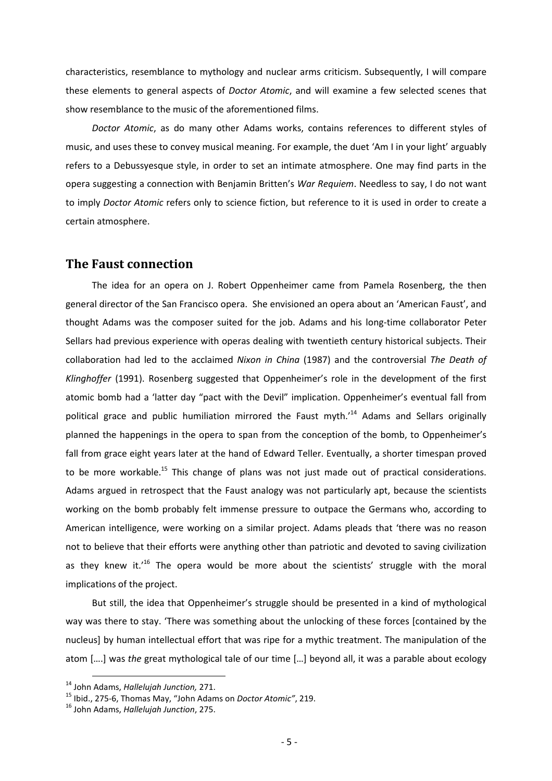characteristics, resemblance to mythology and nuclear arms criticism. Subsequently, I will compare these elements to general aspects of *Doctor Atomic*, and will examine a few selected scenes that show resemblance to the music of the aforementioned films.

*Doctor Atomic*, as do many other Adams works, contains references to different styles of music, and uses these to convey musical meaning. For example, the duet 'Am I in your light' arguably refers to a Debussyesque style, in order to set an intimate atmosphere. One may find parts in the opera suggesting a connection with Benjamin Britten's *War Requiem*. Needless to say, I do not want to imply *Doctor Atomic* refers only to science fiction, but reference to it is used in order to create a certain atmosphere.

#### **The Faust connection**

The idea for an opera on J. Robert Oppenheimer came from Pamela Rosenberg, the then general director of the San Francisco opera. She envisioned an opera about an 'American Faust', and thought Adams was the composer suited for the job. Adams and his long-time collaborator Peter Sellars had previous experience with operas dealing with twentieth century historical subjects. Their collaboration had led to the acclaimed *Nixon in China* (1987) and the controversial *The Death of Klinghoffer* (1991). Rosenberg suggested that Oppenheimer's role in the development of the first atomic bomb had a 'latter day "pact with the Devil" implication. Oppenheimer's eventual fall from political grace and public humiliation mirrored the Faust myth.<sup>14</sup> Adams and Sellars originally planned the happenings in the opera to span from the conception of the bomb, to Oppenheimer's fall from grace eight years later at the hand of Edward Teller. Eventually, a shorter timespan proved to be more workable.<sup>15</sup> This change of plans was not just made out of practical considerations. Adams argued in retrospect that the Faust analogy was not particularly apt, because the scientists working on the bomb probably felt immense pressure to outpace the Germans who, according to American intelligence, were working on a similar project. Adams pleads that 'there was no reason not to believe that their efforts were anything other than patriotic and devoted to saving civilization as they knew it.<sup>16</sup> The opera would be more about the scientists' struggle with the moral implications of the project.

But still, the idea that Oppenheimer's struggle should be presented in a kind of mythological way was there to stay. 'There was something about the unlocking of these forces [contained by the nucleus] by human intellectual effort that was ripe for a mythic treatment. The manipulation of the atom [….] was *the* great mythological tale of our time […] beyond all, it was a parable about ecology

<sup>14</sup> John Adams, *Hallelujah Junction,* 271.

<sup>15</sup> Ibid., 275-6, Thomas May, "John Adams on *Doctor Atomic"*, 219.

<sup>16</sup> John Adams, *Hallelujah Junction*, 275.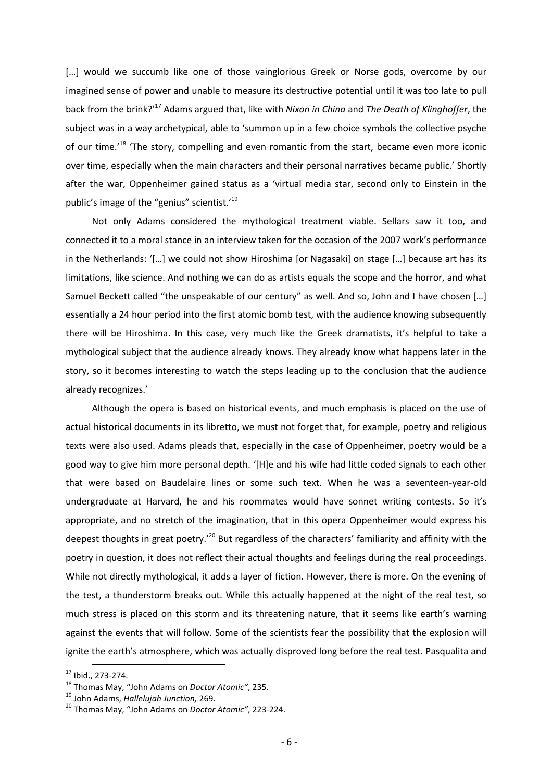[...] would we succumb like one of those vainglorious Greek or Norse gods, overcome by our imagined sense of power and unable to measure its destructive potential until it was too late to pull back from the brink?'<sup>17</sup> Adams argued that, like with *Nixon in China* and *The Death of Klinghoffer*, the subject was in a way archetypical, able to 'summon up in a few choice symbols the collective psyche of our time.<sup>18</sup> 'The story, compelling and even romantic from the start, became even more iconic over time, especially when the main characters and their personal narratives became public.' Shortly after the war, Oppenheimer gained status as a 'virtual media star, second only to Einstein in the public's image of the "genius" scientist.'<sup>19</sup>

Not only Adams considered the mythological treatment viable. Sellars saw it too, and connected it to a moral stance in an interview taken for the occasion of the 2007 work's performance in the Netherlands: '[…] we could not show Hiroshima [or Nagasaki] on stage […] because art has its limitations, like science. And nothing we can do as artists equals the scope and the horror, and what Samuel Beckett called "the unspeakable of our century" as well. And so, John and I have chosen […] essentially a 24 hour period into the first atomic bomb test, with the audience knowing subsequently there will be Hiroshima. In this case, very much like the Greek dramatists, it's helpful to take a mythological subject that the audience already knows. They already know what happens later in the story, so it becomes interesting to watch the steps leading up to the conclusion that the audience already recognizes.'

Although the opera is based on historical events, and much emphasis is placed on the use of actual historical documents in its libretto, we must not forget that, for example, poetry and religious texts were also used. Adams pleads that, especially in the case of Oppenheimer, poetry would be a good way to give him more personal depth. '[H]e and his wife had little coded signals to each other that were based on Baudelaire lines or some such text. When he was a seventeen-year-old undergraduate at Harvard, he and his roommates would have sonnet writing contests. So it's appropriate, and no stretch of the imagination, that in this opera Oppenheimer would express his deepest thoughts in great poetry.<sup>'20</sup> But regardless of the characters' familiarity and affinity with the poetry in question, it does not reflect their actual thoughts and feelings during the real proceedings. While not directly mythological, it adds a layer of fiction. However, there is more. On the evening of the test, a thunderstorm breaks out. While this actually happened at the night of the real test, so much stress is placed on this storm and its threatening nature, that it seems like earth's warning against the events that will follow. Some of the scientists fear the possibility that the explosion will ignite the earth's atmosphere, which was actually disproved long before the real test. Pasqualita and

l <sup>17</sup> Ibid., 273-274.

<sup>18</sup> Thomas May, "John Adams on *Doctor Atomic"*, 235.

<sup>19</sup> John Adams, *Hallelujah Junction,* 269.

<sup>20</sup> Thomas May, "John Adams on *Doctor Atomic"*, 223-224.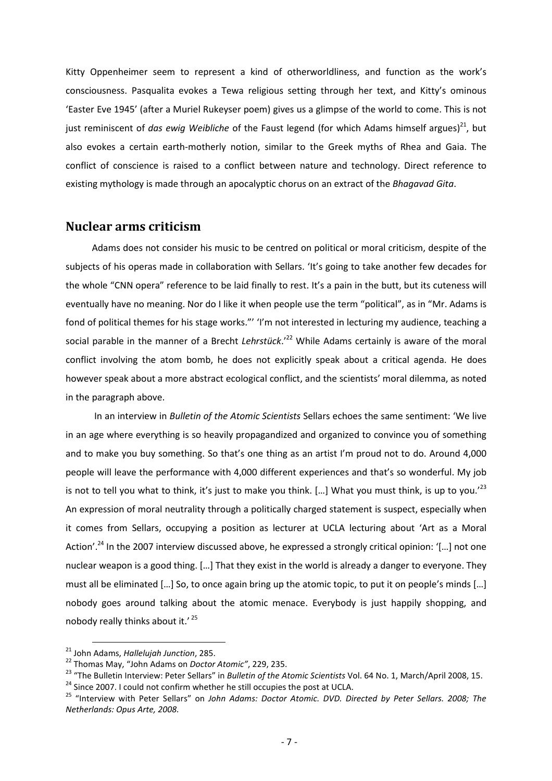Kitty Oppenheimer seem to represent a kind of otherworldliness, and function as the work's consciousness. Pasqualita evokes a Tewa religious setting through her text, and Kitty's ominous 'Easter Eve 1945' (after a Muriel Rukeyser poem) gives us a glimpse of the world to come. This is not just reminiscent of *das ewig Weibliche* of the Faust legend (for which Adams himself argues)<sup>21</sup>, but also evokes a certain earth-motherly notion, similar to the Greek myths of Rhea and Gaia. The conflict of conscience is raised to a conflict between nature and technology. Direct reference to existing mythology is made through an apocalyptic chorus on an extract of the *Bhagavad Gita*.

## **Nuclear arms criticism**

Adams does not consider his music to be centred on political or moral criticism, despite of the subjects of his operas made in collaboration with Sellars. 'It's going to take another few decades for the whole "CNN opera" reference to be laid finally to rest. It's a pain in the butt, but its cuteness will eventually have no meaning. Nor do I like it when people use the term "political", as in "Mr. Adams is fond of political themes for his stage works."' 'I'm not interested in lecturing my audience, teaching a social parable in the manner of a Brecht *Lehrstück*.<sup>22</sup> While Adams certainly is aware of the moral conflict involving the atom bomb, he does not explicitly speak about a critical agenda. He does however speak about a more abstract ecological conflict, and the scientists' moral dilemma, as noted in the paragraph above.

 In an interview in *Bulletin of the Atomic Scientists* Sellars echoes the same sentiment: 'We live in an age where everything is so heavily propagandized and organized to convince you of something and to make you buy something. So that's one thing as an artist I'm proud not to do. Around 4,000 people will leave the performance with 4,000 different experiences and that's so wonderful. My job is not to tell you what to think, it's just to make you think. [...] What you must think, is up to vou.<sup>'23</sup> An expression of moral neutrality through a politically charged statement is suspect, especially when it comes from Sellars, occupying a position as lecturer at UCLA lecturing about 'Art as a Moral Action'.<sup>24</sup> In the 2007 interview discussed above, he expressed a strongly critical opinion: '[...] not one nuclear weapon is a good thing. […] That they exist in the world is already a danger to everyone. They must all be eliminated […] So, to once again bring up the atomic topic, to put it on people's minds […] nobody goes around talking about the atomic menace. Everybody is just happily shopping, and nobody really thinks about it.' <sup>25</sup>

<sup>21</sup> John Adams, *Hallelujah Junction*, 285.

<sup>22</sup> Thomas May, "John Adams on *Doctor Atomic"*, 229, 235.

<sup>23</sup> "The Bulletin Interview: Peter Sellars" in *Bulletin of the Atomic Scientists* Vol. 64 No. 1, March/April 2008, 15. <sup>24</sup> Since 2007. I could not confirm whether he still occupies the post at UCLA.

<sup>25</sup> "Interview with Peter Sellars" on *John Adams: Doctor Atomic. DVD. Directed by Peter Sellars. 2008; The Netherlands: Opus Arte, 2008.*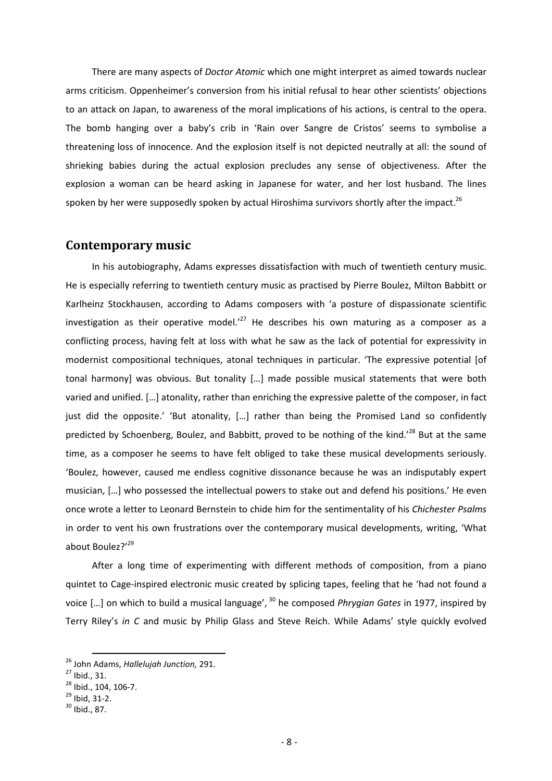There are many aspects of *Doctor Atomic* which one might interpret as aimed towards nuclear arms criticism. Oppenheimer's conversion from his initial refusal to hear other scientists' objections to an attack on Japan, to awareness of the moral implications of his actions, is central to the opera. The bomb hanging over a baby's crib in 'Rain over Sangre de Cristos' seems to symbolise a threatening loss of innocence. And the explosion itself is not depicted neutrally at all: the sound of shrieking babies during the actual explosion precludes any sense of objectiveness. After the explosion a woman can be heard asking in Japanese for water, and her lost husband. The lines spoken by her were supposedly spoken by actual Hiroshima survivors shortly after the impact. $^{26}$ 

# **Contemporary music**

In his autobiography, Adams expresses dissatisfaction with much of twentieth century music. He is especially referring to twentieth century music as practised by Pierre Boulez, Milton Babbitt or Karlheinz Stockhausen, according to Adams composers with 'a posture of dispassionate scientific investigation as their operative model.<sup>'27</sup> He describes his own maturing as a composer as a conflicting process, having felt at loss with what he saw as the lack of potential for expressivity in modernist compositional techniques, atonal techniques in particular. 'The expressive potential [of tonal harmony] was obvious. But tonality […] made possible musical statements that were both varied and unified. […] atonality, rather than enriching the expressive palette of the composer, in fact just did the opposite.' 'But atonality, [...] rather than being the Promised Land so confidently predicted by Schoenberg, Boulez, and Babbitt, proved to be nothing of the kind.<sup>28</sup> But at the same time, as a composer he seems to have felt obliged to take these musical developments seriously. 'Boulez, however, caused me endless cognitive dissonance because he was an indisputably expert musician, […] who possessed the intellectual powers to stake out and defend his positions.' He even once wrote a letter to Leonard Bernstein to chide him for the sentimentality of his *Chichester Psalms*  in order to vent his own frustrations over the contemporary musical developments, writing, 'What about Boulez?'<sup>29</sup>

After a long time of experimenting with different methods of composition, from a piano quintet to Cage-inspired electronic music created by splicing tapes, feeling that he 'had not found a voice [...] on which to build a musical language', <sup>30</sup> he composed *Phrygian Gates* in 1977, inspired by Terry Riley's *in C* and music by Philip Glass and Steve Reich. While Adams' style quickly evolved

<sup>26</sup> John Adams, *Hallelujah Junction,* 291.

 $27$  Ibid., 31.

<sup>28</sup> Ibid., 104, 106-7.

 $^{29}$  Ibid, 31-2.

 $30$  Ibid., 87.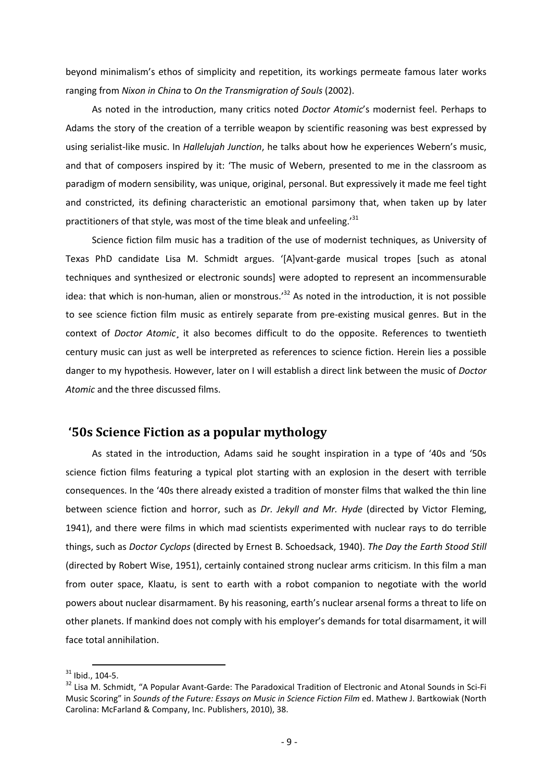beyond minimalism's ethos of simplicity and repetition, its workings permeate famous later works ranging from *Nixon in China* to *On the Transmigration of Souls* (2002).

As noted in the introduction, many critics noted *Doctor Atomic*'s modernist feel. Perhaps to Adams the story of the creation of a terrible weapon by scientific reasoning was best expressed by using serialist-like music. In *Hallelujah Junction*, he talks about how he experiences Webern's music, and that of composers inspired by it: 'The music of Webern, presented to me in the classroom as paradigm of modern sensibility, was unique, original, personal. But expressively it made me feel tight and constricted, its defining characteristic an emotional parsimony that, when taken up by later practitioners of that style, was most of the time bleak and unfeeling.'<sup>31</sup>

Science fiction film music has a tradition of the use of modernist techniques, as University of Texas PhD candidate Lisa M. Schmidt argues. '[A]vant-garde musical tropes [such as atonal techniques and synthesized or electronic sounds] were adopted to represent an incommensurable idea: that which is non-human, alien or monstrous.<sup>32</sup> As noted in the introduction, it is not possible to see science fiction film music as entirely separate from pre-existing musical genres. But in the context of *Doctor Atomic*¸ it also becomes difficult to do the opposite. References to twentieth century music can just as well be interpreted as references to science fiction. Herein lies a possible danger to my hypothesis. However, later on I will establish a direct link between the music of *Doctor Atomic* and the three discussed films.

# **'50s Science Fiction as a popular mythology**

As stated in the introduction, Adams said he sought inspiration in a type of '40s and '50s science fiction films featuring a typical plot starting with an explosion in the desert with terrible consequences. In the '40s there already existed a tradition of monster films that walked the thin line between science fiction and horror, such as *Dr. Jekyll and Mr. Hyde* (directed by Victor Fleming, 1941), and there were films in which mad scientists experimented with nuclear rays to do terrible things, such as *Doctor Cyclops* (directed by Ernest B. Schoedsack, 1940). *The Day the Earth Stood Still* (directed by Robert Wise, 1951), certainly contained strong nuclear arms criticism. In this film a man from outer space, Klaatu, is sent to earth with a robot companion to negotiate with the world powers about nuclear disarmament. By his reasoning, earth's nuclear arsenal forms a threat to life on other planets. If mankind does not comply with his employer's demands for total disarmament, it will face total annihilation.

l  $31$  Ibid., 104-5.

<sup>&</sup>lt;sup>32</sup> Lisa M. Schmidt, "A Popular Avant-Garde: The Paradoxical Tradition of Electronic and Atonal Sounds in Sci-Fi Music Scoring" in *Sounds of the Future: Essays on Music in Science Fiction Film* ed. Mathew J. Bartkowiak (North Carolina: McFarland & Company, Inc. Publishers, 2010), 38.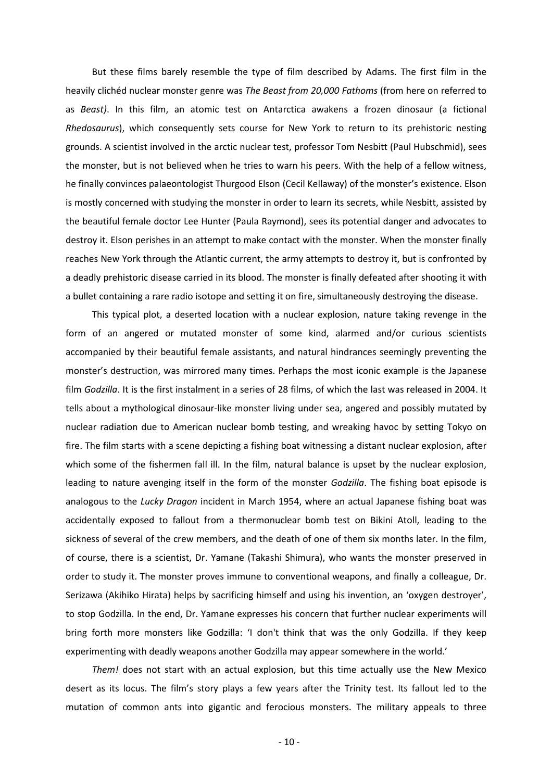But these films barely resemble the type of film described by Adams. The first film in the heavily clichéd nuclear monster genre was *The Beast from 20,000 Fathoms* (from here on referred to as *Beast)*. In this film, an atomic test on Antarctica awakens a frozen dinosaur (a fictional *Rhedosaurus*), which consequently sets course for New York to return to its prehistoric nesting grounds. A scientist involved in the arctic nuclear test, professor Tom Nesbitt (Paul Hubschmid), sees the monster, but is not believed when he tries to warn his peers. With the help of a fellow witness, he finally convinces palaeontologist Thurgood Elson (Cecil Kellaway) of the monster's existence. Elson is mostly concerned with studying the monster in order to learn its secrets, while Nesbitt, assisted by the beautiful female doctor Lee Hunter (Paula Raymond), sees its potential danger and advocates to destroy it. Elson perishes in an attempt to make contact with the monster. When the monster finally reaches New York through the Atlantic current, the army attempts to destroy it, but is confronted by a deadly prehistoric disease carried in its blood. The monster is finally defeated after shooting it with a bullet containing a rare radio isotope and setting it on fire, simultaneously destroying the disease.

This typical plot, a deserted location with a nuclear explosion, nature taking revenge in the form of an angered or mutated monster of some kind, alarmed and/or curious scientists accompanied by their beautiful female assistants, and natural hindrances seemingly preventing the monster's destruction, was mirrored many times. Perhaps the most iconic example is the Japanese film *Godzilla*. It is the first instalment in a series of 28 films, of which the last was released in 2004. It tells about a mythological dinosaur-like monster living under sea, angered and possibly mutated by nuclear radiation due to American nuclear bomb testing, and wreaking havoc by setting Tokyo on fire. The film starts with a scene depicting a fishing boat witnessing a distant nuclear explosion, after which some of the fishermen fall ill. In the film, natural balance is upset by the nuclear explosion, leading to nature avenging itself in the form of the monster *Godzilla*. The fishing boat episode is analogous to the *Lucky Dragon* incident in March 1954, where an actual Japanese fishing boat was accidentally exposed to fallout from a thermonuclear bomb test on Bikini Atoll, leading to the sickness of several of the crew members, and the death of one of them six months later. In the film, of course, there is a scientist, Dr. Yamane (Takashi Shimura), who wants the monster preserved in order to study it. The monster proves immune to conventional weapons, and finally a colleague, Dr. Serizawa (Akihiko Hirata) helps by sacrificing himself and using his invention, an 'oxygen destroyer', to stop Godzilla. In the end, Dr. Yamane expresses his concern that further nuclear experiments will bring forth more monsters like Godzilla: 'I don't think that was the only Godzilla. If they keep experimenting with deadly weapons another Godzilla may appear somewhere in the world.'

*Them!* does not start with an actual explosion, but this time actually use the New Mexico desert as its locus. The film's story plays a few years after the Trinity test. Its fallout led to the mutation of common ants into gigantic and ferocious monsters. The military appeals to three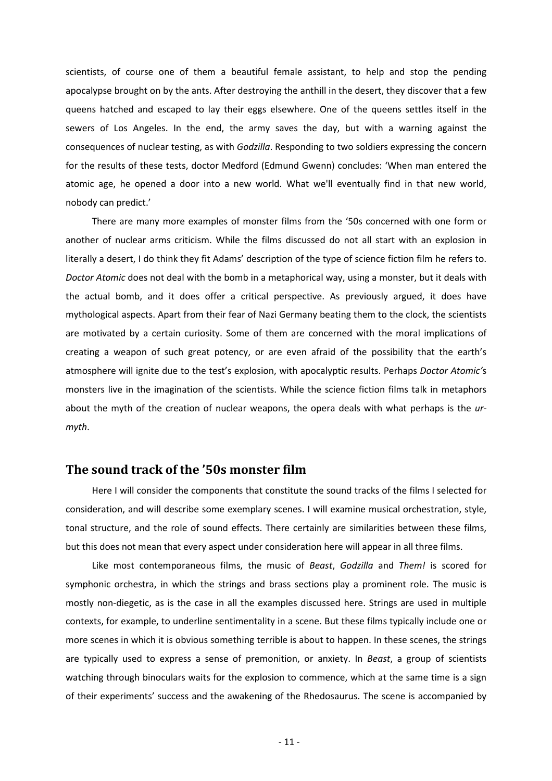scientists, of course one of them a beautiful female assistant, to help and stop the pending apocalypse brought on by the ants. After destroying the anthill in the desert, they discover that a few queens hatched and escaped to lay their eggs elsewhere. One of the queens settles itself in the sewers of Los Angeles. In the end, the army saves the day, but with a warning against the consequences of nuclear testing, as with *Godzilla*. Responding to two soldiers expressing the concern for the results of these tests, doctor Medford (Edmund Gwenn) concludes: 'When man entered the atomic age, he opened a door into a new world. What we'll eventually find in that new world, nobody can predict.'

There are many more examples of monster films from the '50s concerned with one form or another of nuclear arms criticism. While the films discussed do not all start with an explosion in literally a desert, I do think they fit Adams' description of the type of science fiction film he refers to. *Doctor Atomic* does not deal with the bomb in a metaphorical way, using a monster, but it deals with the actual bomb, and it does offer a critical perspective. As previously argued, it does have mythological aspects. Apart from their fear of Nazi Germany beating them to the clock, the scientists are motivated by a certain curiosity. Some of them are concerned with the moral implications of creating a weapon of such great potency, or are even afraid of the possibility that the earth's atmosphere will ignite due to the test's explosion, with apocalyptic results. Perhaps *Doctor Atomic'*s monsters live in the imagination of the scientists. While the science fiction films talk in metaphors about the myth of the creation of nuclear weapons, the opera deals with what perhaps is the *urmyth*.

## **The sound track of the '50s monster film**

Here I will consider the components that constitute the sound tracks of the films I selected for consideration, and will describe some exemplary scenes. I will examine musical orchestration, style, tonal structure, and the role of sound effects. There certainly are similarities between these films, but this does not mean that every aspect under consideration here will appear in all three films.

Like most contemporaneous films, the music of *Beast*, *Godzilla* and *Them!* is scored for symphonic orchestra, in which the strings and brass sections play a prominent role. The music is mostly non-diegetic, as is the case in all the examples discussed here. Strings are used in multiple contexts, for example, to underline sentimentality in a scene. But these films typically include one or more scenes in which it is obvious something terrible is about to happen. In these scenes, the strings are typically used to express a sense of premonition, or anxiety. In *Beast*, a group of scientists watching through binoculars waits for the explosion to commence, which at the same time is a sign of their experiments' success and the awakening of the Rhedosaurus. The scene is accompanied by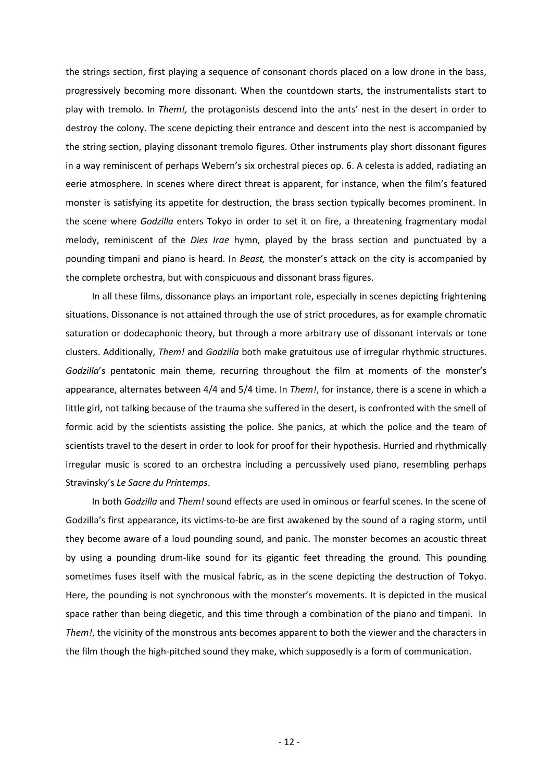the strings section, first playing a sequence of consonant chords placed on a low drone in the bass, progressively becoming more dissonant. When the countdown starts, the instrumentalists start to play with tremolo. In *Them!,* the protagonists descend into the ants' nest in the desert in order to destroy the colony. The scene depicting their entrance and descent into the nest is accompanied by the string section, playing dissonant tremolo figures. Other instruments play short dissonant figures in a way reminiscent of perhaps Webern's six orchestral pieces op. 6. A celesta is added, radiating an eerie atmosphere. In scenes where direct threat is apparent, for instance, when the film's featured monster is satisfying its appetite for destruction, the brass section typically becomes prominent. In the scene where *Godzilla* enters Tokyo in order to set it on fire, a threatening fragmentary modal melody, reminiscent of the *Dies Irae* hymn, played by the brass section and punctuated by a pounding timpani and piano is heard. In *Beast,* the monster's attack on the city is accompanied by the complete orchestra, but with conspicuous and dissonant brass figures.

In all these films, dissonance plays an important role, especially in scenes depicting frightening situations. Dissonance is not attained through the use of strict procedures, as for example chromatic saturation or dodecaphonic theory, but through a more arbitrary use of dissonant intervals or tone clusters. Additionally, *Them!* and *Godzilla* both make gratuitous use of irregular rhythmic structures. *Godzilla*'s pentatonic main theme, recurring throughout the film at moments of the monster's appearance, alternates between 4/4 and 5/4 time. In *Them!*, for instance, there is a scene in which a little girl, not talking because of the trauma she suffered in the desert, is confronted with the smell of formic acid by the scientists assisting the police. She panics, at which the police and the team of scientists travel to the desert in order to look for proof for their hypothesis. Hurried and rhythmically irregular music is scored to an orchestra including a percussively used piano, resembling perhaps Stravinsky's *Le Sacre du Printemps*.

In both *Godzilla* and *Them!* sound effects are used in ominous or fearful scenes. In the scene of Godzilla's first appearance, its victims-to-be are first awakened by the sound of a raging storm, until they become aware of a loud pounding sound, and panic. The monster becomes an acoustic threat by using a pounding drum-like sound for its gigantic feet threading the ground. This pounding sometimes fuses itself with the musical fabric, as in the scene depicting the destruction of Tokyo. Here, the pounding is not synchronous with the monster's movements. It is depicted in the musical space rather than being diegetic, and this time through a combination of the piano and timpani. In *Them!*, the vicinity of the monstrous ants becomes apparent to both the viewer and the characters in the film though the high-pitched sound they make, which supposedly is a form of communication.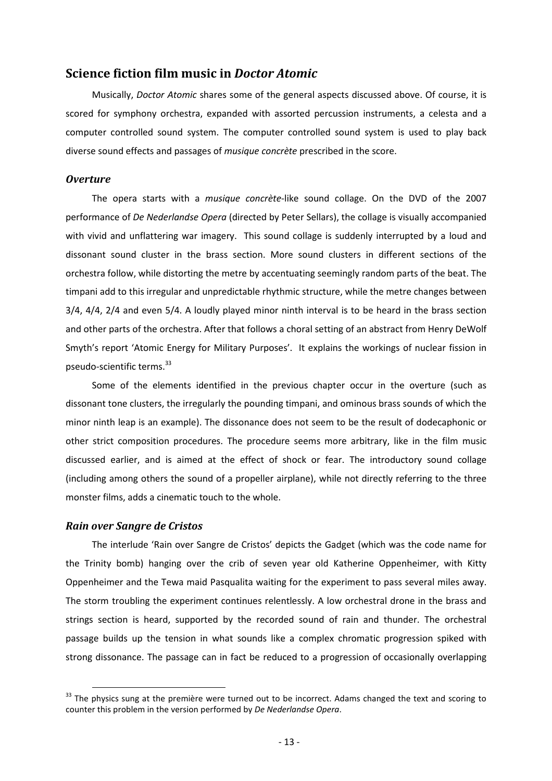## **Science fiction film music in** *Doctor Atomic*

Musically, *Doctor Atomic* shares some of the general aspects discussed above. Of course, it is scored for symphony orchestra, expanded with assorted percussion instruments, a celesta and a computer controlled sound system. The computer controlled sound system is used to play back diverse sound effects and passages of *musique concrète* prescribed in the score.

#### *Overture*

The opera starts with a *musique concrète*-like sound collage. On the DVD of the 2007 performance of *De Nederlandse Opera* (directed by Peter Sellars), the collage is visually accompanied with vivid and unflattering war imagery. This sound collage is suddenly interrupted by a loud and dissonant sound cluster in the brass section. More sound clusters in different sections of the orchestra follow, while distorting the metre by accentuating seemingly random parts of the beat. The timpani add to this irregular and unpredictable rhythmic structure, while the metre changes between 3/4, 4/4, 2/4 and even 5/4. A loudly played minor ninth interval is to be heard in the brass section and other parts of the orchestra. After that follows a choral setting of an abstract from Henry DeWolf Smyth's report 'Atomic Energy for Military Purposes'. It explains the workings of nuclear fission in pseudo-scientific terms.<sup>33</sup>

Some of the elements identified in the previous chapter occur in the overture (such as dissonant tone clusters, the irregularly the pounding timpani, and ominous brass sounds of which the minor ninth leap is an example). The dissonance does not seem to be the result of dodecaphonic or other strict composition procedures. The procedure seems more arbitrary, like in the film music discussed earlier, and is aimed at the effect of shock or fear. The introductory sound collage (including among others the sound of a propeller airplane), while not directly referring to the three monster films, adds a cinematic touch to the whole.

#### *Rain over Sangre de Cristos*

 $\overline{\phantom{a}}$ 

The interlude 'Rain over Sangre de Cristos' depicts the Gadget (which was the code name for the Trinity bomb) hanging over the crib of seven year old Katherine Oppenheimer, with Kitty Oppenheimer and the Tewa maid Pasqualita waiting for the experiment to pass several miles away. The storm troubling the experiment continues relentlessly. A low orchestral drone in the brass and strings section is heard, supported by the recorded sound of rain and thunder. The orchestral passage builds up the tension in what sounds like a complex chromatic progression spiked with strong dissonance. The passage can in fact be reduced to a progression of occasionally overlapping

 $33$  The physics sung at the première were turned out to be incorrect. Adams changed the text and scoring to counter this problem in the version performed by *De Nederlandse Opera*.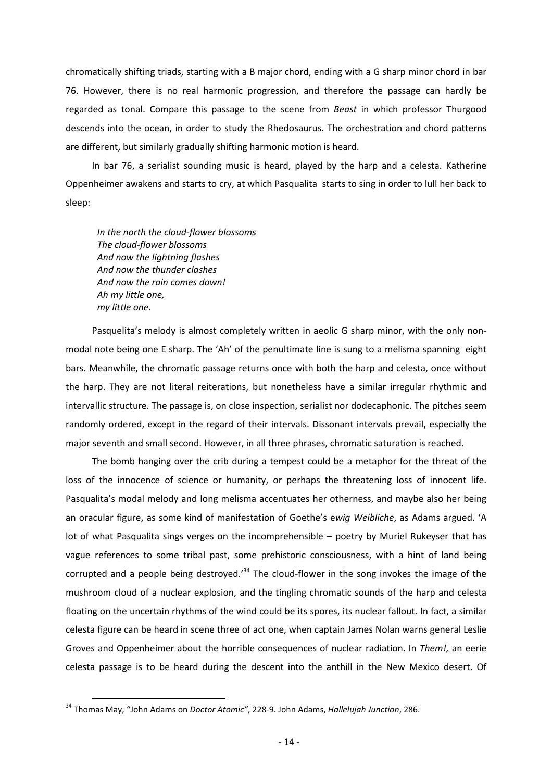chromatically shifting triads, starting with a B major chord, ending with a G sharp minor chord in bar 76. However, there is no real harmonic progression, and therefore the passage can hardly be regarded as tonal. Compare this passage to the scene from *Beast* in which professor Thurgood descends into the ocean, in order to study the Rhedosaurus. The orchestration and chord patterns are different, but similarly gradually shifting harmonic motion is heard.

In bar 76, a serialist sounding music is heard, played by the harp and a celesta. Katherine Oppenheimer awakens and starts to cry, at which Pasqualita starts to sing in order to lull her back to sleep:

*In the north the cloud-flower blossoms The cloud-flower blossoms And now the lightning flashes And now the thunder clashes And now the rain comes down! Ah my little one, my little one.* 

Pasquelita's melody is almost completely written in aeolic G sharp minor, with the only nonmodal note being one E sharp. The 'Ah' of the penultimate line is sung to a melisma spanning eight bars. Meanwhile, the chromatic passage returns once with both the harp and celesta, once without the harp. They are not literal reiterations, but nonetheless have a similar irregular rhythmic and intervallic structure. The passage is, on close inspection, serialist nor dodecaphonic. The pitches seem randomly ordered, except in the regard of their intervals. Dissonant intervals prevail, especially the major seventh and small second. However, in all three phrases, chromatic saturation is reached.

The bomb hanging over the crib during a tempest could be a metaphor for the threat of the loss of the innocence of science or humanity, or perhaps the threatening loss of innocent life. Pasqualita's modal melody and long melisma accentuates her otherness, and maybe also her being an oracular figure, as some kind of manifestation of Goethe's e*wig Weibliche*, as Adams argued. 'A lot of what Pasqualita sings verges on the incomprehensible – poetry by Muriel Rukeyser that has vague references to some tribal past, some prehistoric consciousness, with a hint of land being corrupted and a people being destroyed.<sup>34</sup> The cloud-flower in the song invokes the image of the mushroom cloud of a nuclear explosion, and the tingling chromatic sounds of the harp and celesta floating on the uncertain rhythms of the wind could be its spores, its nuclear fallout. In fact, a similar celesta figure can be heard in scene three of act one, when captain James Nolan warns general Leslie Groves and Oppenheimer about the horrible consequences of nuclear radiation. In *Them!,* an eerie celesta passage is to be heard during the descent into the anthill in the New Mexico desert. Of

<sup>34</sup> Thomas May, "John Adams on *Doctor Atomic"*, 228-9. John Adams, *Hallelujah Junction*, 286.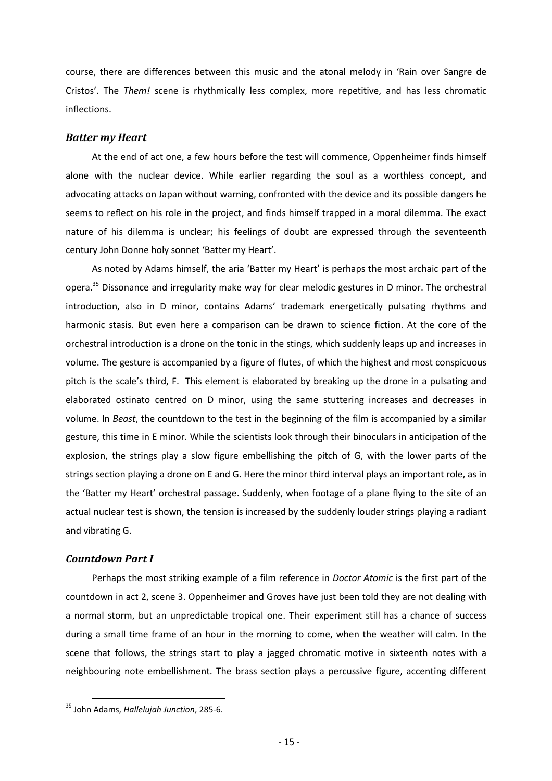course, there are differences between this music and the atonal melody in 'Rain over Sangre de Cristos'. The *Them!* scene is rhythmically less complex, more repetitive, and has less chromatic inflections.

#### *Batter my Heart*

At the end of act one, a few hours before the test will commence, Oppenheimer finds himself alone with the nuclear device. While earlier regarding the soul as a worthless concept, and advocating attacks on Japan without warning, confronted with the device and its possible dangers he seems to reflect on his role in the project, and finds himself trapped in a moral dilemma. The exact nature of his dilemma is unclear; his feelings of doubt are expressed through the seventeenth century John Donne holy sonnet 'Batter my Heart'.

As noted by Adams himself, the aria 'Batter my Heart' is perhaps the most archaic part of the opera.<sup>35</sup> Dissonance and irregularity make way for clear melodic gestures in D minor. The orchestral introduction, also in D minor, contains Adams' trademark energetically pulsating rhythms and harmonic stasis. But even here a comparison can be drawn to science fiction. At the core of the orchestral introduction is a drone on the tonic in the stings, which suddenly leaps up and increases in volume. The gesture is accompanied by a figure of flutes, of which the highest and most conspicuous pitch is the scale's third, F. This element is elaborated by breaking up the drone in a pulsating and elaborated ostinato centred on D minor, using the same stuttering increases and decreases in volume. In *Beast*, the countdown to the test in the beginning of the film is accompanied by a similar gesture, this time in E minor. While the scientists look through their binoculars in anticipation of the explosion, the strings play a slow figure embellishing the pitch of G, with the lower parts of the strings section playing a drone on E and G. Here the minor third interval plays an important role, as in the 'Batter my Heart' orchestral passage. Suddenly, when footage of a plane flying to the site of an actual nuclear test is shown, the tension is increased by the suddenly louder strings playing a radiant and vibrating G.

#### *Countdown Part I*

Perhaps the most striking example of a film reference in *Doctor Atomic* is the first part of the countdown in act 2, scene 3. Oppenheimer and Groves have just been told they are not dealing with a normal storm, but an unpredictable tropical one. Their experiment still has a chance of success during a small time frame of an hour in the morning to come, when the weather will calm. In the scene that follows, the strings start to play a jagged chromatic motive in sixteenth notes with a neighbouring note embellishment. The brass section plays a percussive figure, accenting different

<sup>35</sup> John Adams, *Hallelujah Junction*, 285-6.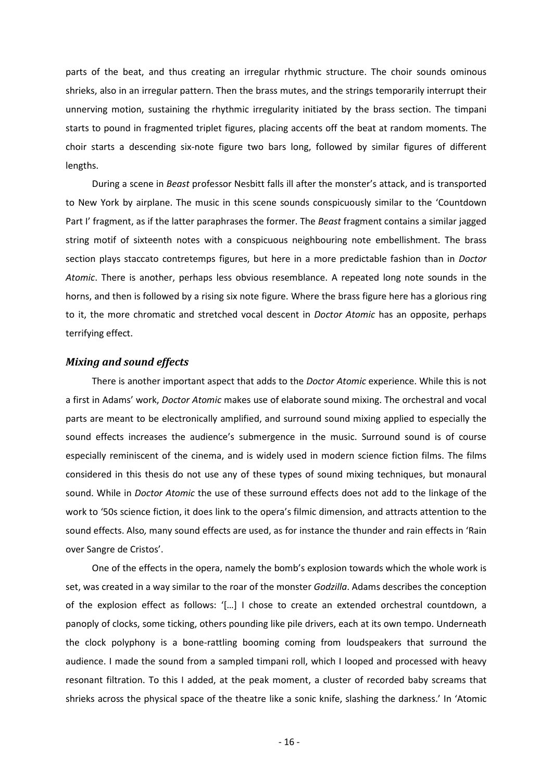parts of the beat, and thus creating an irregular rhythmic structure. The choir sounds ominous shrieks, also in an irregular pattern. Then the brass mutes, and the strings temporarily interrupt their unnerving motion, sustaining the rhythmic irregularity initiated by the brass section. The timpani starts to pound in fragmented triplet figures, placing accents off the beat at random moments. The choir starts a descending six-note figure two bars long, followed by similar figures of different lengths.

During a scene in *Beast* professor Nesbitt falls ill after the monster's attack, and is transported to New York by airplane. The music in this scene sounds conspicuously similar to the 'Countdown Part I' fragment, as if the latter paraphrases the former. The *Beast* fragment contains a similar jagged string motif of sixteenth notes with a conspicuous neighbouring note embellishment. The brass section plays staccato contretemps figures, but here in a more predictable fashion than in *Doctor Atomic*. There is another, perhaps less obvious resemblance. A repeated long note sounds in the horns, and then is followed by a rising six note figure. Where the brass figure here has a glorious ring to it, the more chromatic and stretched vocal descent in *Doctor Atomic* has an opposite, perhaps terrifying effect.

#### *Mixing and sound effects*

There is another important aspect that adds to the *Doctor Atomic* experience. While this is not a first in Adams' work, *Doctor Atomic* makes use of elaborate sound mixing. The orchestral and vocal parts are meant to be electronically amplified, and surround sound mixing applied to especially the sound effects increases the audience's submergence in the music. Surround sound is of course especially reminiscent of the cinema, and is widely used in modern science fiction films. The films considered in this thesis do not use any of these types of sound mixing techniques, but monaural sound. While in *Doctor Atomic* the use of these surround effects does not add to the linkage of the work to '50s science fiction, it does link to the opera's filmic dimension, and attracts attention to the sound effects. Also*,* many sound effects are used, as for instance the thunder and rain effects in 'Rain over Sangre de Cristos'.

One of the effects in the opera, namely the bomb's explosion towards which the whole work is set, was created in a way similar to the roar of the monster *Godzilla*. Adams describes the conception of the explosion effect as follows: '[…] I chose to create an extended orchestral countdown, a panoply of clocks, some ticking, others pounding like pile drivers, each at its own tempo. Underneath the clock polyphony is a bone-rattling booming coming from loudspeakers that surround the audience. I made the sound from a sampled timpani roll, which I looped and processed with heavy resonant filtration. To this I added, at the peak moment, a cluster of recorded baby screams that shrieks across the physical space of the theatre like a sonic knife, slashing the darkness.' In 'Atomic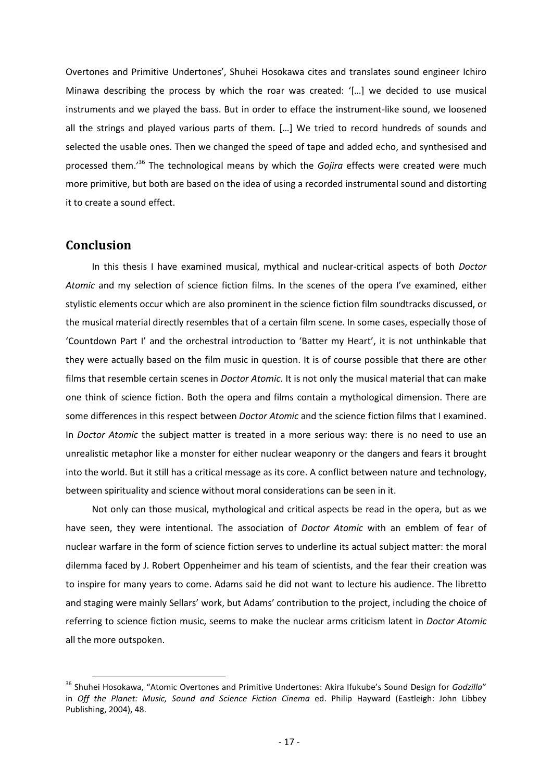Overtones and Primitive Undertones', Shuhei Hosokawa cites and translates sound engineer Ichiro Minawa describing the process by which the roar was created: '[…] we decided to use musical instruments and we played the bass. But in order to efface the instrument-like sound, we loosened all the strings and played various parts of them. […] We tried to record hundreds of sounds and selected the usable ones. Then we changed the speed of tape and added echo, and synthesised and processed them.'<sup>36</sup> The technological means by which the *Gojira* effects were created were much more primitive, but both are based on the idea of using a recorded instrumental sound and distorting it to create a sound effect.

# **Conclusion**

l

In this thesis I have examined musical, mythical and nuclear-critical aspects of both *Doctor Atomic* and my selection of science fiction films. In the scenes of the opera I've examined, either stylistic elements occur which are also prominent in the science fiction film soundtracks discussed, or the musical material directly resembles that of a certain film scene. In some cases, especially those of 'Countdown Part I' and the orchestral introduction to 'Batter my Heart', it is not unthinkable that they were actually based on the film music in question. It is of course possible that there are other films that resemble certain scenes in *Doctor Atomic*. It is not only the musical material that can make one think of science fiction. Both the opera and films contain a mythological dimension. There are some differences in this respect between *Doctor Atomic* and the science fiction films that I examined. In *Doctor Atomic* the subject matter is treated in a more serious way: there is no need to use an unrealistic metaphor like a monster for either nuclear weaponry or the dangers and fears it brought into the world. But it still has a critical message as its core. A conflict between nature and technology, between spirituality and science without moral considerations can be seen in it.

Not only can those musical, mythological and critical aspects be read in the opera, but as we have seen, they were intentional. The association of *Doctor Atomic* with an emblem of fear of nuclear warfare in the form of science fiction serves to underline its actual subject matter: the moral dilemma faced by J. Robert Oppenheimer and his team of scientists, and the fear their creation was to inspire for many years to come. Adams said he did not want to lecture his audience. The libretto and staging were mainly Sellars' work, but Adams' contribution to the project, including the choice of referring to science fiction music, seems to make the nuclear arms criticism latent in *Doctor Atomic* all the more outspoken.

<sup>36</sup> Shuhei Hosokawa, "Atomic Overtones and Primitive Undertones: Akira Ifukube's Sound Design for *Godzilla*" in *Off the Planet: Music, Sound and Science Fiction Cinema* ed. Philip Hayward (Eastleigh: John Libbey Publishing, 2004), 48.